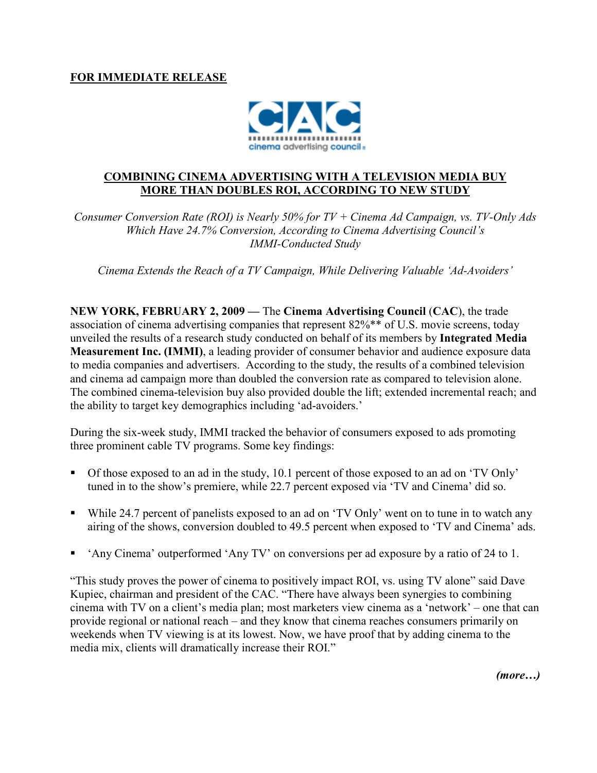

## COMBINING CINEMA ADVERTISING WITH A TELEVISION MEDIA BUY MORE THAN DOUBLES ROI, ACCORDING TO NEW STUDY

Consumer Conversion Rate (ROI) is Nearly 50% for  $TV + C$ inema Ad Campaign, vs. TV-Only Ads Which Have 24.7% Conversion, According to Cinema Advertising Council's IMMI-Conducted Study

Cinema Extends the Reach of a TV Campaign, While Delivering Valuable 'Ad-Avoiders'

NEW YORK, FEBRUARY 2, 2009 — The Cinema Advertising Council (CAC), the trade association of cinema advertising companies that represent 82%\*\* of U.S. movie screens, today unveiled the results of a research study conducted on behalf of its members by Integrated Media Measurement Inc. (IMMI), a leading provider of consumer behavior and audience exposure data to media companies and advertisers. According to the study, the results of a combined television and cinema ad campaign more than doubled the conversion rate as compared to television alone. The combined cinema-television buy also provided double the lift; extended incremental reach; and the ability to target key demographics including 'ad-avoiders.'

During the six-week study, IMMI tracked the behavior of consumers exposed to ads promoting three prominent cable TV programs. Some key findings:

- Of those exposed to an ad in the study, 10.1 percent of those exposed to an ad on 'TV Only' tuned in to the show's premiere, while 22.7 percent exposed via 'TV and Cinema' did so.
- While 24.7 percent of panelists exposed to an ad on 'TV Only' went on to tune in to watch any airing of the shows, conversion doubled to 49.5 percent when exposed to 'TV and Cinema' ads.
- 'Any Cinema' outperformed 'Any TV' on conversions per ad exposure by a ratio of 24 to 1.

"This study proves the power of cinema to positively impact ROI, vs. using TV alone" said Dave Kupiec, chairman and president of the CAC. "There have always been synergies to combining cinema with TV on a client's media plan; most marketers view cinema as a 'network' – one that can provide regional or national reach – and they know that cinema reaches consumers primarily on weekends when TV viewing is at its lowest. Now, we have proof that by adding cinema to the media mix, clients will dramatically increase their ROI."